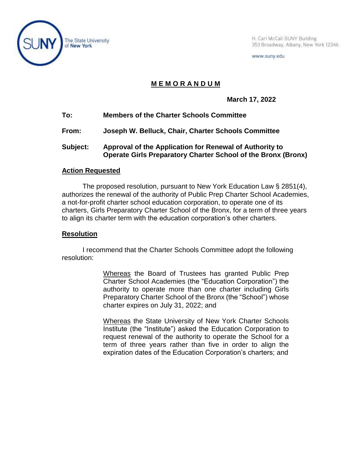

H. Carl McCall SUNY Building 353 Broadway, Albany, New York 12246

www.suny.edu

## **M E M O R A N D U M**

**March 17, 2022**

- **To: Members of the Charter Schools Committee**
- **From: Joseph W. Belluck, Chair, Charter Schools Committee**
- **Subject: Approval of the Application for Renewal of Authority to Operate Girls Preparatory Charter School of the Bronx (Bronx)**

## **Action Requested**

The proposed resolution, pursuant to New York Education Law § 2851(4), authorizes the renewal of the authority of Public Prep Charter School Academies, a not-for-profit charter school education corporation, to operate one of its charters, Girls Preparatory Charter School of the Bronx, for a term of three years to align its charter term with the education corporation's other charters.

## **Resolution**

I recommend that the Charter Schools Committee adopt the following resolution:

> Whereas the Board of Trustees has granted Public Prep Charter School Academies (the "Education Corporation") the authority to operate more than one charter including Girls Preparatory Charter School of the Bronx (the "School") whose charter expires on July 31, 2022; and

> Whereas the State University of New York Charter Schools Institute (the "Institute") asked the Education Corporation to request renewal of the authority to operate the School for a term of three years rather than five in order to align the expiration dates of the Education Corporation's charters; and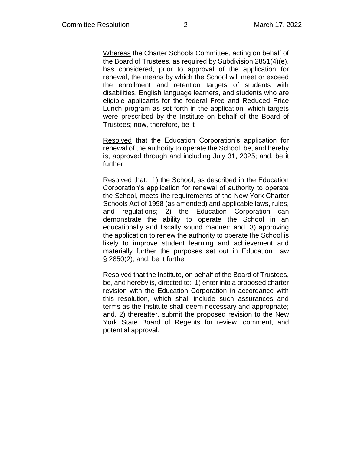Whereas the Charter Schools Committee, acting on behalf of the Board of Trustees, as required by Subdivision 2851(4)(e), has considered, prior to approval of the application for renewal, the means by which the School will meet or exceed the enrollment and retention targets of students with disabilities, English language learners, and students who are eligible applicants for the federal Free and Reduced Price Lunch program as set forth in the application, which targets were prescribed by the Institute on behalf of the Board of Trustees; now, therefore, be it

Resolved that the Education Corporation's application for renewal of the authority to operate the School, be, and hereby is, approved through and including July 31, 2025; and, be it further

Resolved that: 1) the School, as described in the Education Corporation's application for renewal of authority to operate the School, meets the requirements of the New York Charter Schools Act of 1998 (as amended) and applicable laws, rules, and regulations; 2) the Education Corporation can demonstrate the ability to operate the School in an educationally and fiscally sound manner; and, 3) approving the application to renew the authority to operate the School is likely to improve student learning and achievement and materially further the purposes set out in Education Law § 2850(2); and, be it further

Resolved that the Institute, on behalf of the Board of Trustees, be, and hereby is, directed to: 1) enter into a proposed charter revision with the Education Corporation in accordance with this resolution, which shall include such assurances and terms as the Institute shall deem necessary and appropriate; and, 2) thereafter, submit the proposed revision to the New York State Board of Regents for review, comment, and potential approval.